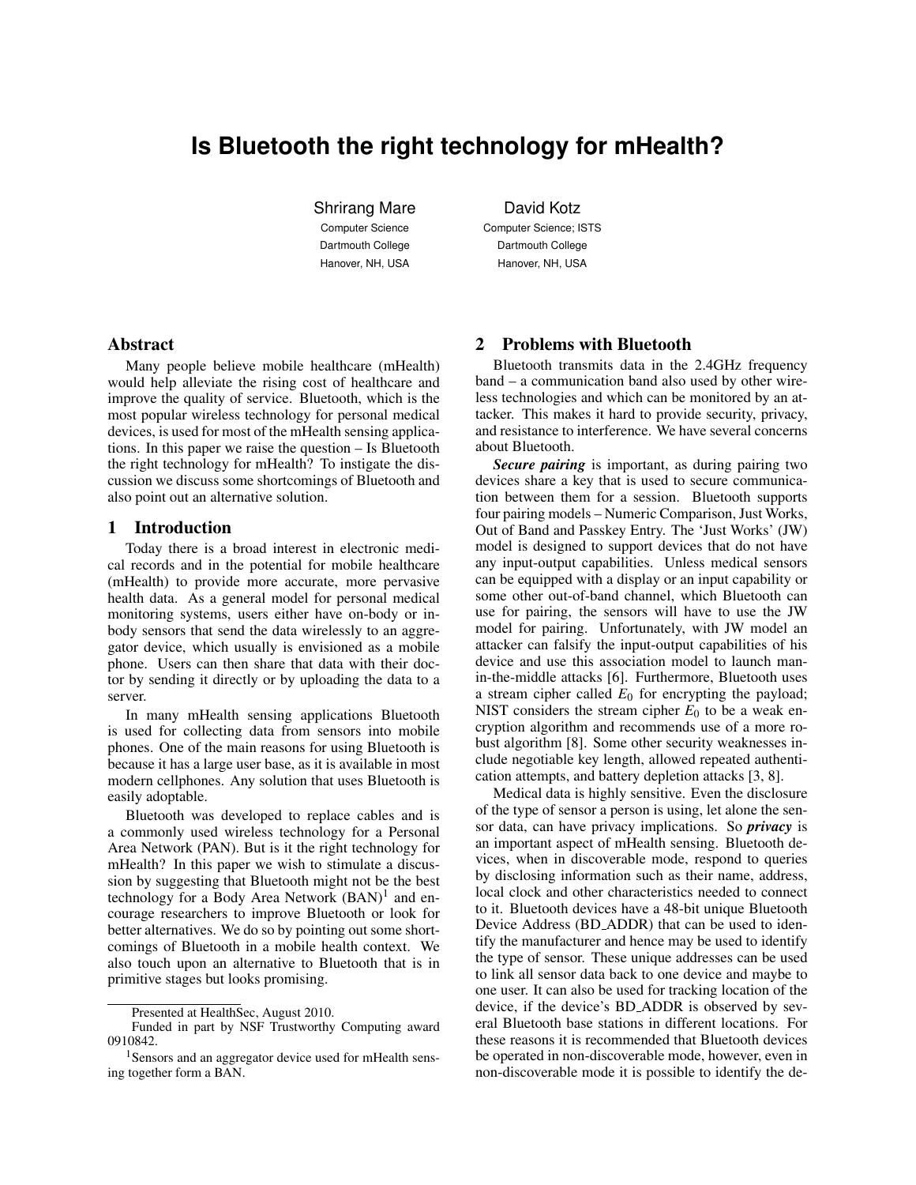# **Is Bluetooth the right technology for mHealth?**

Shrirang Mare Computer Science Dartmouth College Hanover, NH, USA

David Kotz

Computer Science; ISTS Dartmouth College Hanover, NH, USA

## Abstract

Many people believe mobile healthcare (mHealth) would help alleviate the rising cost of healthcare and improve the quality of service. Bluetooth, which is the most popular wireless technology for personal medical devices, is used for most of the mHealth sensing applications. In this paper we raise the question – Is Bluetooth the right technology for mHealth? To instigate the discussion we discuss some shortcomings of Bluetooth and also point out an alternative solution.

## 1 Introduction

Today there is a broad interest in electronic medical records and in the potential for mobile healthcare (mHealth) to provide more accurate, more pervasive health data. As a general model for personal medical monitoring systems, users either have on-body or inbody sensors that send the data wirelessly to an aggregator device, which usually is envisioned as a mobile phone. Users can then share that data with their doctor by sending it directly or by uploading the data to a server.

In many mHealth sensing applications Bluetooth is used for collecting data from sensors into mobile phones. One of the main reasons for using Bluetooth is because it has a large user base, as it is available in most modern cellphones. Any solution that uses Bluetooth is easily adoptable.

Bluetooth was developed to replace cables and is a commonly used wireless technology for a Personal Area Network (PAN). But is it the right technology for mHealth? In this paper we wish to stimulate a discussion by suggesting that Bluetooth might not be the best technology for a Body Area Network (BAN)<sup>[1](#page-0-0)</sup> and encourage researchers to improve Bluetooth or look for better alternatives. We do so by pointing out some shortcomings of Bluetooth in a mobile health context. We also touch upon an alternative to Bluetooth that is in primitive stages but looks promising.

# 2 Problems with Bluetooth

Bluetooth transmits data in the 2.4GHz frequency band – a communication band also used by other wireless technologies and which can be monitored by an attacker. This makes it hard to provide security, privacy, and resistance to interference. We have several concerns about Bluetooth.

*Secure pairing* is important, as during pairing two devices share a key that is used to secure communication between them for a session. Bluetooth supports four pairing models – Numeric Comparison, Just Works, Out of Band and Passkey Entry. The 'Just Works' (JW) model is designed to support devices that do not have any input-output capabilities. Unless medical sensors can be equipped with a display or an input capability or some other out-of-band channel, which Bluetooth can use for pairing, the sensors will have to use the JW model for pairing. Unfortunately, with JW model an attacker can falsify the input-output capabilities of his device and use this association model to launch manin-the-middle attacks [\[6\]](#page-1-0). Furthermore, Bluetooth uses a stream cipher called  $E_0$  for encrypting the payload; NIST considers the stream cipher  $E_0$  to be a weak encryption algorithm and recommends use of a more robust algorithm [\[8\]](#page-1-1). Some other security weaknesses include negotiable key length, allowed repeated authentication attempts, and battery depletion attacks [\[3,](#page-1-2) [8\]](#page-1-1).

Medical data is highly sensitive. Even the disclosure of the type of sensor a person is using, let alone the sensor data, can have privacy implications. So *privacy* is an important aspect of mHealth sensing. Bluetooth devices, when in discoverable mode, respond to queries by disclosing information such as their name, address, local clock and other characteristics needed to connect to it. Bluetooth devices have a 48-bit unique Bluetooth Device Address (BD ADDR) that can be used to identify the manufacturer and hence may be used to identify the type of sensor. These unique addresses can be used to link all sensor data back to one device and maybe to one user. It can also be used for tracking location of the device, if the device's BD ADDR is observed by several Bluetooth base stations in different locations. For these reasons it is recommended that Bluetooth devices be operated in non-discoverable mode, however, even in non-discoverable mode it is possible to identify the de-

Presented at HealthSec, August 2010.

Funded in part by NSF Trustworthy Computing award 0910842.

<span id="page-0-0"></span><sup>1</sup>Sensors and an aggregator device used for mHealth sensing together form a BAN.